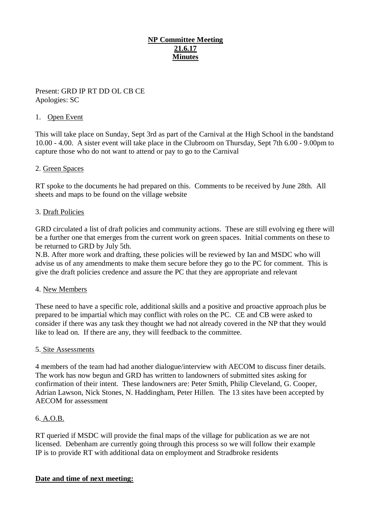# **NP Committee Meeting 21.6.17 Minutes**

## Present: GRD IP RT DD OL CB CE Apologies: SC

### 1. Open Event

This will take place on Sunday, Sept 3rd as part of the Carnival at the High School in the bandstand 10.00 - 4.00. A sister event will take place in the Clubroom on Thursday, Sept 7th 6.00 - 9.00pm to capture those who do not want to attend or pay to go to the Carnival

### 2. Green Spaces

RT spoke to the documents he had prepared on this. Comments to be received by June 28th. All sheets and maps to be found on the village website

### 3. Draft Policies

GRD circulated a list of draft policies and community actions. These are still evolving eg there will be a further one that emerges from the current work on green spaces. Initial comments on these to be returned to GRD by July 5th.

N.B. After more work and drafting, these policies will be reviewed by Ian and MSDC who will advise us of any amendments to make them secure before they go to the PC for comment. This is give the draft policies credence and assure the PC that they are appropriate and relevant

#### 4. New Members

These need to have a specific role, additional skills and a positive and proactive approach plus be prepared to be impartial which may conflict with roles on the PC. CE and CB were asked to consider if there was any task they thought we had not already covered in the NP that they would like to lead on. If there are any, they will feedback to the committee.

#### 5. Site Assessments

4 members of the team had had another dialogue/interview with AECOM to discuss finer details. The work has now begun and GRD has written to landowners of submitted sites asking for confirmation of their intent. These landowners are: Peter Smith, Philip Cleveland, G. Cooper, Adrian Lawson, Nick Stones, N. Haddingham, Peter Hillen. The 13 sites have been accepted by AECOM for assessment

## 6. A.O.B.

RT queried if MSDC will provide the final maps of the village for publication as we are not licensed. Debenham are currently going through this process so we will follow their example IP is to provide RT with additional data on employment and Stradbroke residents

## **Date and time of next meeting:**